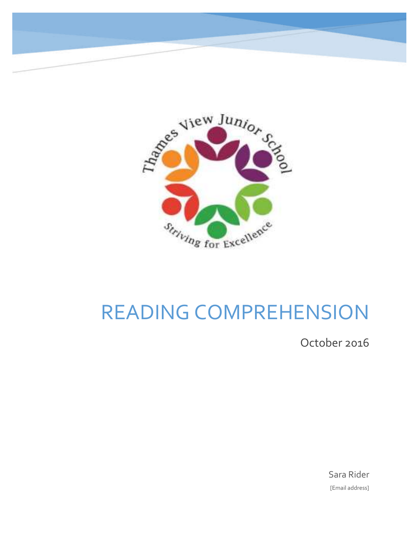



## READING COMPREHENSION

October 2016

Sara Rider [Email address]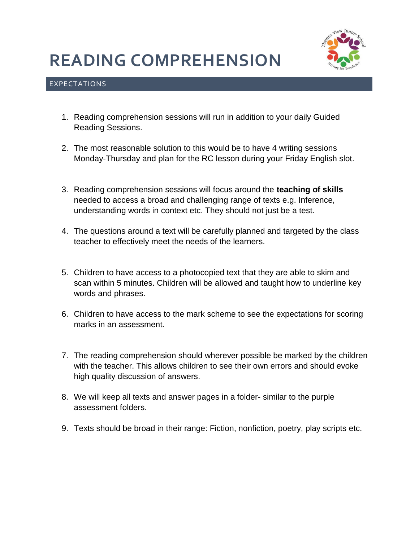### **READING COMPREHENSION**



#### EXPECTATIONS

- 1. Reading comprehension sessions will run in addition to your daily Guided Reading Sessions.
- 2. The most reasonable solution to this would be to have 4 writing sessions Monday-Thursday and plan for the RC lesson during your Friday English slot.
- 3. Reading comprehension sessions will focus around the **teaching of skills** needed to access a broad and challenging range of texts e.g. Inference, understanding words in context etc. They should not just be a test.
- 4. The questions around a text will be carefully planned and targeted by the class teacher to effectively meet the needs of the learners.
- 5. Children to have access to a photocopied text that they are able to skim and scan within 5 minutes. Children will be allowed and taught how to underline key words and phrases.
- 6. Children to have access to the mark scheme to see the expectations for scoring marks in an assessment.
- 7. The reading comprehension should wherever possible be marked by the children with the teacher. This allows children to see their own errors and should evoke high quality discussion of answers.
- 8. We will keep all texts and answer pages in a folder- similar to the purple assessment folders.
- 9. Texts should be broad in their range: Fiction, nonfiction, poetry, play scripts etc.